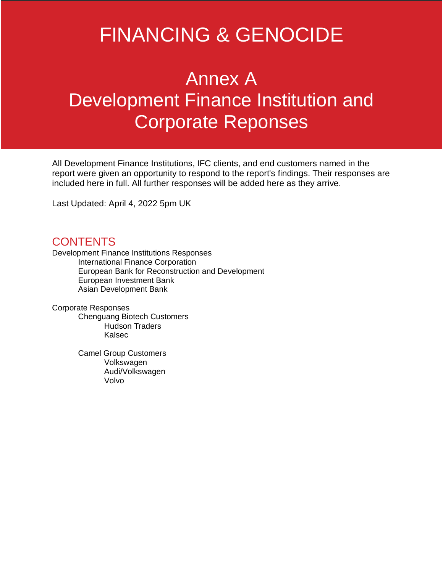# FINANCING & GENOCIDE

# Annex A Development Finance Institution and Corporate Reponses

All Development Finance Institutions, IFC clients, and end customers named in the report were given an opportunity to respond to the report's findings. Their responses are included here in full. All further responses will be added here as they arrive.

Last Updated: April 4, 2022 5pm UK

# **CONTENTS**

Development Finance Institutions Responses International Finance Corporation European Bank for Reconstruction and Development European Investment Bank Asian Development Bank

Corporate Responses

Chenguang Biotech Customers Hudson Traders Kalsec

Camel Group Customers Volkswagen Audi/Volkswagen Volvo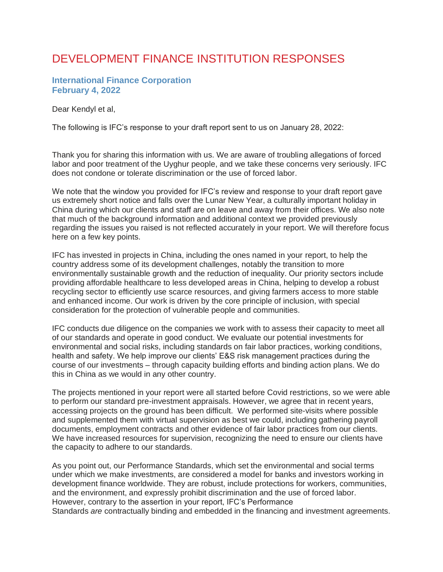# DEVELOPMENT FINANCE INSTITUTION RESPONSES

#### **International Finance Corporation February 4, 2022**

Dear Kendyl et al,

The following is IFC's response to your draft report sent to us on January 28, 2022:

Thank you for sharing this information with us. We are aware of troubling allegations of forced labor and poor treatment of the Uyghur people, and we take these concerns very seriously. IFC does not condone or tolerate discrimination or the use of forced labor.

We note that the window you provided for IFC's review and response to your draft report gave us extremely short notice and falls over the Lunar New Year, a culturally important holiday in China during which our clients and staff are on leave and away from their offices. We also note that much of the background information and additional context we provided previously regarding the issues you raised is not reflected accurately in your report. We will therefore focus here on a few key points.

IFC has invested in projects in China, including the ones named in your report, to help the country address some of its development challenges, notably the transition to more environmentally sustainable growth and the reduction of inequality. Our priority sectors include providing affordable healthcare to less developed areas in China, helping to develop a robust recycling sector to efficiently use scarce resources, and giving farmers access to more stable and enhanced income. Our work is driven by the core principle of inclusion, with special consideration for the protection of vulnerable people and communities.

IFC conducts due diligence on the companies we work with to assess their capacity to meet all of our standards and operate in good conduct. We evaluate our potential investments for environmental and social risks, including standards on fair labor practices, working conditions, health and safety. We help improve our clients' E&S risk management practices during the course of our investments – through capacity building efforts and binding action plans. We do this in China as we would in any other country.

The projects mentioned in your report were all started before Covid restrictions, so we were able to perform our standard pre-investment appraisals. However, we agree that in recent years, accessing projects on the ground has been difficult. We performed site-visits where possible and supplemented them with virtual supervision as best we could, including gathering payroll documents, employment contracts and other evidence of fair labor practices from our clients. We have increased resources for supervision, recognizing the need to ensure our clients have the capacity to adhere to our standards.

As you point out, our Performance Standards, which set the environmental and social terms under which we make investments, are considered a model for banks and investors working in development finance worldwide. They are robust, include protections for workers, communities, and the environment, and expressly prohibit discrimination and the use of forced labor. However, contrary to the assertion in your report, IFC's Performance Standards *are* contractually binding and embedded in the financing and investment agreements.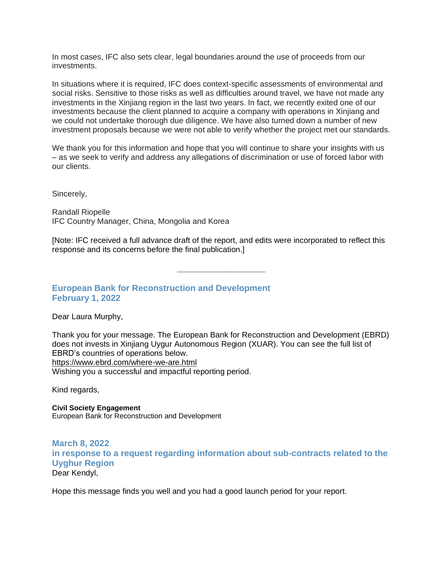In most cases, IFC also sets clear, legal boundaries around the use of proceeds from our investments.

In situations where it is required, IFC does context-specific assessments of environmental and social risks. Sensitive to those risks as well as difficulties around travel, we have not made any investments in the Xinjiang region in the last two years. In fact, we recently exited one of our investments because the client planned to acquire a company with operations in Xinjiang and we could not undertake thorough due diligence. We have also turned down a number of new investment proposals because we were not able to verify whether the project met our standards.

We thank you for this information and hope that you will continue to share your insights with us – as we seek to verify and address any allegations of discrimination or use of forced labor with our clients.

Sincerely,

Randall Riopelle IFC Country Manager, China, Mongolia and Korea

[Note: IFC received a full advance draft of the report, and edits were incorporated to reflect this response and its concerns before the final publication.]

**\_\_\_\_\_\_\_\_\_\_\_\_\_\_\_\_\_\_\_\_**

### **European Bank for Reconstruction and Development February 1, 2022**

Dear Laura Murphy,

Thank you for your message. The European Bank for Reconstruction and Development (EBRD) does not invests in Xinjiang Uygur Autonomous Region (XUAR). You can see the full list of EBRD's countries of operations below. <https://www.ebrd.com/where-we-are.html> Wishing you a successful and impactful reporting period.

Kind regards,

**Civil Society Engagement** European Bank for Reconstruction and Development

**March 8, 2022 in response to a request regarding information about sub-contracts related to the Uyghur Region** Dear Kendyl,

Hope this message finds you well and you had a good launch period for your report.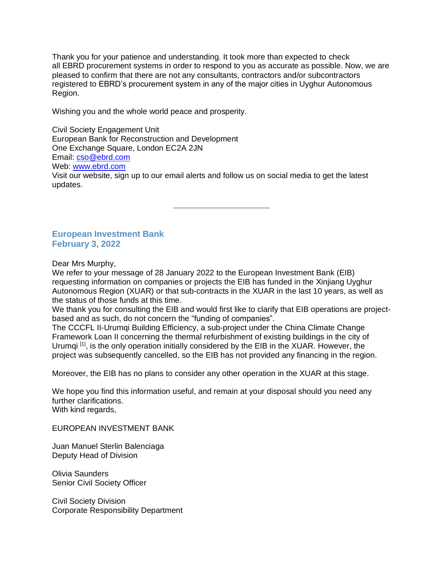Thank you for your patience and understanding. It took more than expected to check all EBRD procurement systems in order to respond to you as accurate as possible. Now, we are pleased to confirm that there are not any consultants, contractors and/or subcontractors registered to EBRD's procurement system in any of the major cities in Uyghur Autonomous Region.

Wishing you and the whole world peace and prosperity.

Civil Society Engagement Unit European Bank for Reconstruction and Development One Exchange Square, London EC2A 2JN Email: [cso@ebrd.com](mailto:cso@ebrd.com) Web: [www.ebrd.com](http://www.ebrd.com/) Visit our website, sign up to our email alerts and follow us on social media to get the latest updates.

**\_\_\_\_\_\_\_\_\_\_\_\_\_\_\_\_\_\_\_\_**

**European Investment Bank February 3, 2022**

Dear Mrs Murphy,

We refer to your message of 28 January 2022 to the European Investment Bank (EIB) requesting information on companies or projects the EIB has funded in the Xinjiang Uyghur Autonomous Region (XUAR) or that sub-contracts in the XUAR in the last 10 years, as well as the status of those funds at this time.

We thank you for consulting the EIB and would first like to clarify that EIB operations are projectbased and as such, do not concern the "funding of companies".

The CCCFL II-Urumqi Building Efficiency, a sub-project under the China Climate Change Framework Loan II concerning the thermal refurbishment of existing buildings in the city of Urumqi <sup>[1]</sup>, is the only operation initially considered by the EIB in the XUAR. However, the project was subsequently cancelled, so the EIB has not provided any financing in the region.

Moreover, the EIB has no plans to consider any other operation in the XUAR at this stage.

We hope you find this information useful, and remain at your disposal should you need any further clarifications. With kind regards,

EUROPEAN INVESTMENT BANK

Juan Manuel Sterlin Balenciaga Deputy Head of Division

Olivia Saunders Senior Civil Society Officer

Civil Society Division Corporate Responsibility Department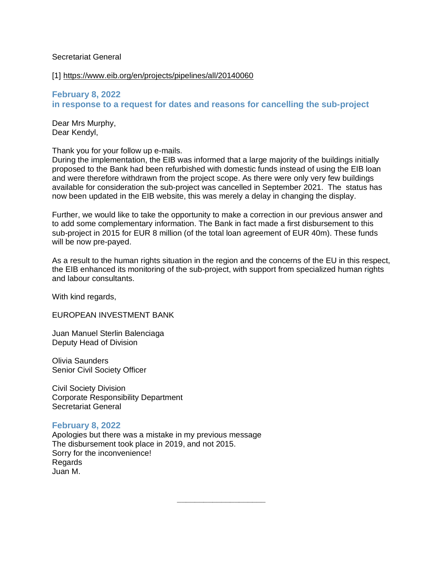#### Secretariat General

[1] <https://www.eib.org/en/projects/pipelines/all/20140060>

**February 8, 2022 in response to a request for dates and reasons for cancelling the sub-project**

Dear Mrs Murphy, Dear Kendyl,

Thank you for your follow up e-mails.

During the implementation, the EIB was informed that a large majority of the buildings initially proposed to the Bank had been refurbished with domestic funds instead of using the EIB loan and were therefore withdrawn from the project scope. As there were only very few buildings available for consideration the sub-project was cancelled in September 2021. The status has now been updated in the EIB website, this was merely a delay in changing the display.

Further, we would like to take the opportunity to make a correction in our previous answer and to add some complementary information. The Bank in fact made a first disbursement to this sub-project in 2015 for EUR 8 million (of the total loan agreement of EUR 40m). These funds will be now pre-payed.

As a result to the human rights situation in the region and the concerns of the EU in this respect, the EIB enhanced its monitoring of the sub-project, with support from specialized human rights and labour consultants.

**\_\_\_\_\_\_\_\_\_\_\_\_\_\_\_\_\_\_\_\_**

With kind regards,

EUROPEAN INVESTMENT BANK

Juan Manuel Sterlin Balenciaga Deputy Head of Division

Olivia Saunders Senior Civil Society Officer

Civil Society Division Corporate Responsibility Department Secretariat General

#### **February 8, 2022**

Apologies but there was a mistake in my previous message The disbursement took place in 2019, and not 2015. Sorry for the inconvenience! **Regards** Juan M.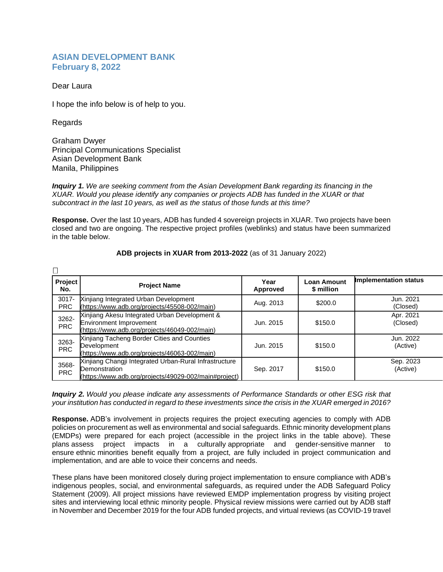#### **ASIAN DEVELOPMENT BANK February 8, 2022**

Dear Laura

I hope the info below is of help to you.

Regards

 $\Box$ 

Graham Dwyer Principal Communications Specialist Asian Development Bank Manila, Philippines

*Inquiry 1. We are seeking comment from the Asian Development Bank regarding its financing in the XUAR. Would you please identify any companies or projects ADB has funded in the XUAR or that subcontract in the last 10 years, as well as the status of those funds at this time?*

**Response.** Over the last 10 years, ADB has funded 4 sovereign projects in XUAR. Two projects have been closed and two are ongoing. The respective project profiles (weblinks) and status have been summarized in the table below.

| Project<br>No.         | <b>Project Name</b>                                                                                                              | Year<br>Approved | <b>Loan Amount</b><br>\$ million | <b>Implementation status</b> |
|------------------------|----------------------------------------------------------------------------------------------------------------------------------|------------------|----------------------------------|------------------------------|
| $3017 -$<br><b>PRC</b> | Xinjiang Integrated Urban Development<br>(https://www.adb.org/projects/45508-002/main)                                           | Aug. 2013        | \$200.0                          | Jun. 2021<br>(Closed)        |
| 3262-<br><b>PRC</b>    | Xinjiang Akesu Integrated Urban Development &<br><b>Environment Improvement</b><br>(https://www.adb.org/projects/46049-002/main) | Jun. 2015        | \$150.0                          | Apr. 2021<br>(Closed)        |
| 3263-<br><b>PRC</b>    | Xinjiang Tacheng Border Cities and Counties<br>Development<br>(https://www.adb.org/projects/46063-002/main)                      | Jun. 2015        | \$150.0                          | Jun. 2022<br>(Active)        |
| 3568-<br><b>PRC</b>    | Xinjiang Changji Integrated Urban-Rural Infrastructure<br>Demonstration<br>(https://www.adb.org/projects/49029-002/main#project) | Sep. 2017        | \$150.0                          | Sep. 2023<br>(Active)        |

#### **ADB projects in XUAR from 2013-2022** (as of 31 January 2022)

*Inquiry 2. Would you please indicate any assessments of Performance Standards or other ESG risk that* your institution has conducted in regard to these investments since the crisis in the XUAR emerged in 2016?

**Response.** ADB's involvement in projects requires the project executing agencies to comply with ADB policies on procurement as well as environmental and social safeguards. Ethnic minority development plans (EMDPs) were prepared for each project (accessible in the project links in the table above). These plans assess project impacts in a culturally appropriate and gender-sensitive manner to ensure ethnic minorities benefit equally from a project, are fully included in project communication and implementation, and are able to voice their concerns and needs.

These plans have been monitored closely during project implementation to ensure compliance with ADB's indigenous peoples, social, and environmental safeguards, as required under the ADB Safeguard Policy Statement (2009). All project missions have reviewed EMDP implementation progress by visiting project sites and interviewing local ethnic minority people. Physical review missions were carried out by ADB staff in November and December 2019 for the four ADB funded projects, and virtual reviews (as COVID-19 travel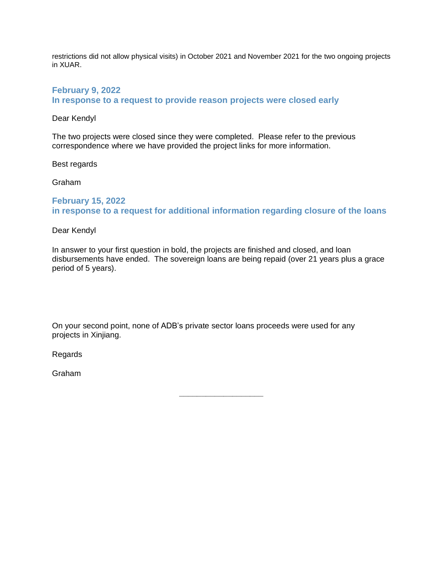restrictions did not allow physical visits) in October 2021 and November 2021 for the two ongoing projects in XUAR.

#### **February 9, 2022 In response to a request to provide reason projects were closed early**

#### Dear Kendyl

The two projects were closed since they were completed. Please refer to the previous correspondence where we have provided the project links for more information.

Best regards

Graham

### **February 15, 2022 in response to a request for additional information regarding closure of the loans**

Dear Kendyl

In answer to your first question in bold, the projects are finished and closed, and loan disbursements have ended. The sovereign loans are being repaid (over 21 years plus a grace period of 5 years).

On your second point, none of ADB's private sector loans proceeds were used for any projects in Xinjiang.

Regards

Graham

**\_\_\_\_\_\_\_\_\_\_\_\_\_\_\_\_\_\_\_**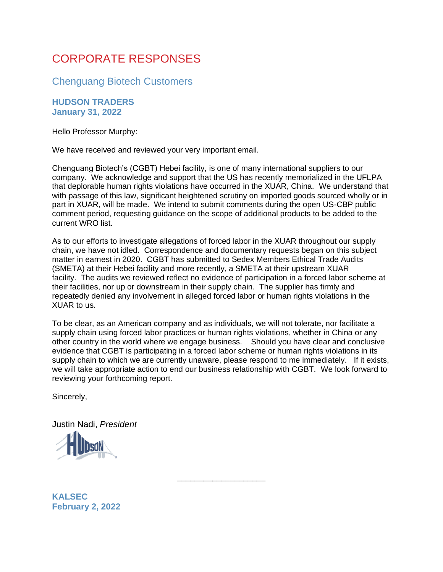# CORPORATE RESPONSES

Chenguang Biotech Customers

### **HUDSON TRADERS January 31, 2022**

Hello Professor Murphy:

We have received and reviewed your very important email.

Chenguang Biotech's (CGBT) Hebei facility, is one of many international suppliers to our company. We acknowledge and support that the US has recently memorialized in the UFLPA that deplorable human rights violations have occurred in the XUAR, China. We understand that with passage of this law, significant heightened scrutiny on imported goods sourced wholly or in part in XUAR, will be made. We intend to submit comments during the open US-CBP public comment period, requesting guidance on the scope of additional products to be added to the current WRO list.

As to our efforts to investigate allegations of forced labor in the XUAR throughout our supply chain, we have not idled. Correspondence and documentary requests began on this subject matter in earnest in 2020. CGBT has submitted to Sedex Members Ethical Trade Audits (SMETA) at their Hebei facility and more recently, a SMETA at their upstream XUAR facility. The audits we reviewed reflect no evidence of participation in a forced labor scheme at their facilities, nor up or downstream in their supply chain. The supplier has firmly and repeatedly denied any involvement in alleged forced labor or human rights violations in the XUAR to us.

To be clear, as an American company and as individuals, we will not tolerate, nor facilitate a supply chain using forced labor practices or human rights violations, whether in China or any other country in the world where we engage business. Should you have clear and conclusive evidence that CGBT is participating in a forced labor scheme or human rights violations in its supply chain to which we are currently unaware, please respond to me immediately. If it exists, we will take appropriate action to end our business relationship with CGBT. We look forward to reviewing your forthcoming report.

\_\_\_\_\_\_\_\_\_\_\_\_\_\_\_\_\_\_\_\_

Sincerely,

Justin Nadi, *President*



**KALSEC February 2, 2022**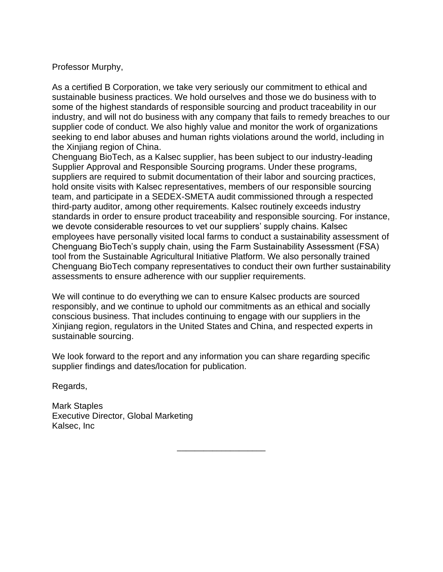## Professor Murphy,

As a certified B Corporation, we take very seriously our commitment to ethical and sustainable business practices. We hold ourselves and those we do business with to some of the highest standards of responsible sourcing and product traceability in our industry, and will not do business with any company that fails to remedy breaches to our supplier code of conduct. We also highly value and monitor the work of organizations seeking to end labor abuses and human rights violations around the world, including in the Xinjiang region of China.

Chenguang BioTech, as a Kalsec supplier, has been subject to our industry-leading Supplier Approval and Responsible Sourcing programs. Under these programs, suppliers are required to submit documentation of their labor and sourcing practices, hold onsite visits with Kalsec representatives, members of our responsible sourcing team, and participate in a SEDEX-SMETA audit commissioned through a respected third-party auditor, among other requirements. Kalsec routinely exceeds industry standards in order to ensure product traceability and responsible sourcing. For instance, we devote considerable resources to vet our suppliers' supply chains. Kalsec employees have personally visited local farms to conduct a sustainability assessment of Chenguang BioTech's supply chain, using the Farm Sustainability Assessment (FSA) tool from the Sustainable Agricultural Initiative Platform. We also personally trained Chenguang BioTech company representatives to conduct their own further sustainability assessments to ensure adherence with our supplier requirements.

We will continue to do everything we can to ensure Kalsec products are sourced responsibly, and we continue to uphold our commitments as an ethical and socially conscious business. That includes continuing to engage with our suppliers in the Xinjiang region, regulators in the United States and China, and respected experts in sustainable sourcing.

We look forward to the report and any information you can share regarding specific supplier findings and dates/location for publication.

\_\_\_\_\_\_\_\_\_\_\_\_\_\_\_\_\_\_\_\_

Regards,

Mark Staples Executive Director, Global Marketing Kalsec, Inc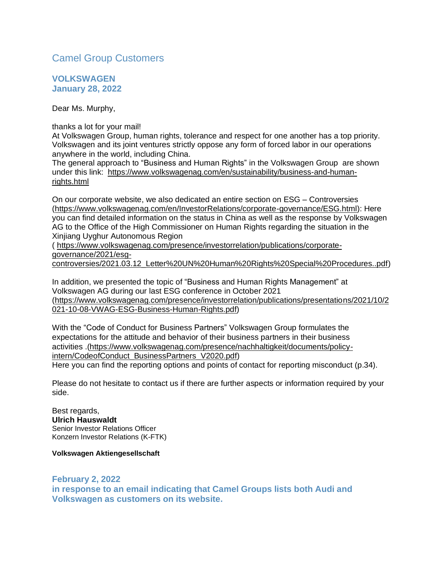# Camel Group Customers

**VOLKSWAGEN January 28, 2022**

Dear Ms. Murphy,

thanks a lot for your mail!

At Volkswagen Group, human rights, tolerance and respect for one another has a top priority. Volkswagen and its joint ventures strictly oppose any form of forced labor in our operations anywhere in the world, including China.

The general approach to "Business and Human Rights" in the Volkswagen Group are shown under this link: [https://www.volkswagenag.com/en/sustainability/business-and-human](https://www.volkswagenag.com/en/sustainability/business-and-human-rights.html)[rights.html](https://www.volkswagenag.com/en/sustainability/business-and-human-rights.html)

On our corporate website, we also dedicated an entire section on ESG – Controversies [\(https://www.volkswagenag.com/en/InvestorRelations/corporate-governance/ESG.html\)](https://www.volkswagenag.com/en/InvestorRelations/corporate-governance/ESG.html): Here you can find detailed information on the status in China as well as the response by Volkswagen AG to the Office of the High Commissioner on Human Rights regarding the situation in the Xinjiang Uyghur Autonomous Region

( [https://www.volkswagenag.com/presence/investorrelation/publications/corporate](https://www.volkswagenag.com/presence/investorrelation/publications/corporate-governance/2021/esg-controversies/2021.03.12_Letter%20UN%20Human%20Rights%20Special%20Procedures..pdf)[governance/2021/esg-](https://www.volkswagenag.com/presence/investorrelation/publications/corporate-governance/2021/esg-controversies/2021.03.12_Letter%20UN%20Human%20Rights%20Special%20Procedures..pdf)

[controversies/2021.03.12\\_Letter%20UN%20Human%20Rights%20Special%20Procedures..pdf\)](https://www.volkswagenag.com/presence/investorrelation/publications/corporate-governance/2021/esg-controversies/2021.03.12_Letter%20UN%20Human%20Rights%20Special%20Procedures..pdf)

In addition, we presented the topic of "Business and Human Rights Management" at Volkswagen AG during our last ESG conference in October 2021 [\(https://www.volkswagenag.com/presence/investorrelation/publications/presentations/2021/10/2](https://www.volkswagenag.com/presence/investorrelation/publications/presentations/2021/10/2021-10-08-VWAG-ESG-Business-Human-Rights.pdf) [021-10-08-VWAG-ESG-Business-Human-Rights.pdf\)](https://www.volkswagenag.com/presence/investorrelation/publications/presentations/2021/10/2021-10-08-VWAG-ESG-Business-Human-Rights.pdf)

With the "Code of Conduct for Business Partners" Volkswagen Group formulates the expectations for the attitude and behavior of their business partners in their business activities .[\(https://www.volkswagenag.com/presence/nachhaltigkeit/documents/policy](https://www.volkswagenag.com/presence/nachhaltigkeit/documents/policy-intern/CodeofConduct_BusinessPartners_V2020.pdf)[intern/CodeofConduct\\_BusinessPartners\\_V2020.pdf\)](https://www.volkswagenag.com/presence/nachhaltigkeit/documents/policy-intern/CodeofConduct_BusinessPartners_V2020.pdf) Here you can find the reporting options and points of contact for reporting misconduct (p.34).

Please do not hesitate to contact us if there are further aspects or information required by your side.

Best regards, **Ulrich Hauswaldt** Senior Investor Relations Officer Konzern Investor Relations (K-FTK)

**Volkswagen Aktiengesellschaft**

**February 2, 2022 in response to an email indicating that Camel Groups lists both Audi and Volkswagen as customers on its website.**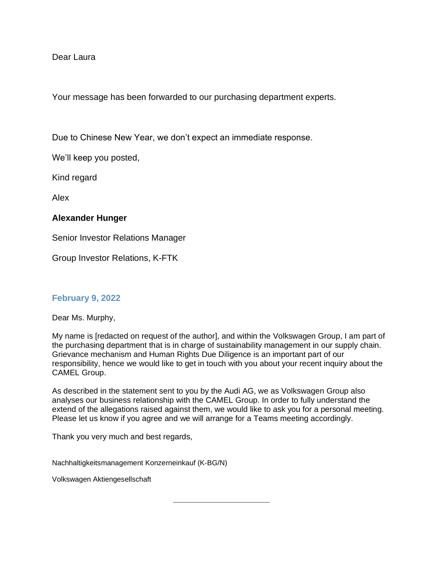### Dear Laura

Your message has been forwarded to our purchasing department experts.

Due to Chinese New Year, we don't expect an immediate response.

We'll keep you posted,

Kind regard

Alex

### **Alexander Hunger**

Senior Investor Relations Manager

Group Investor Relations, K-FTK

## **February 9, 2022**

Dear Ms. Murphy,

My name is [redacted on request of the author], and within the Volkswagen Group, I am part of the purchasing department that is in charge of sustainability management in our supply chain. Grievance mechanism and Human Rights Due Diligence is an important part of our responsibility, hence we would like to get in touch with you about your recent inquiry about the CAMEL Group.

As described in the statement sent to you by the Audi AG, we as Volkswagen Group also analyses our business relationship with the CAMEL Group. In order to fully understand the extend of the allegations raised against them, we would like to ask you for a personal meeting. Please let us know if you agree and we will arrange for a Teams meeting accordingly.

**\_\_\_\_\_\_\_\_\_\_\_\_\_\_\_\_\_\_\_\_**

Thank you very much and best regards,

Nachhaltigkeitsmanagement Konzerneinkauf (K-BG/N)

Volkswagen Aktiengesellschaft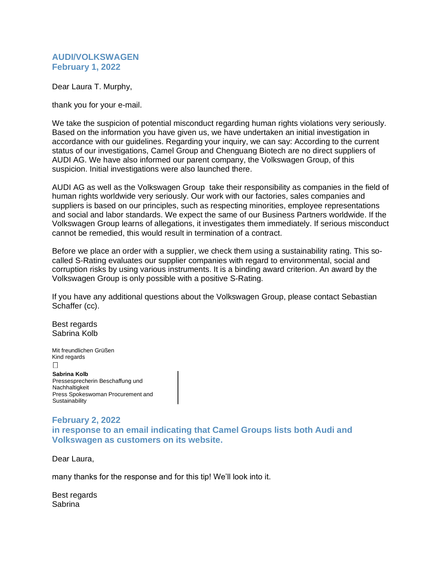#### **AUDI/VOLKSWAGEN February 1, 2022**

Dear Laura T. Murphy,

thank you for your e-mail.

We take the suspicion of potential misconduct regarding human rights violations very seriously. Based on the information you have given us, we have undertaken an initial investigation in accordance with our guidelines. Regarding your inquiry, we can say: According to the current status of our investigations, Camel Group and Chenguang Biotech are no direct suppliers of AUDI AG. We have also informed our parent company, the Volkswagen Group, of this suspicion. Initial investigations were also launched there.

AUDI AG as well as the Volkswagen Group take their responsibility as companies in the field of human rights worldwide very seriously. Our work with our factories, sales companies and suppliers is based on our principles, such as respecting minorities, employee representations and social and labor standards. We expect the same of our Business Partners worldwide. If the Volkswagen Group learns of allegations, it investigates them immediately. If serious misconduct cannot be remedied, this would result in termination of a contract.

Before we place an order with a supplier, we check them using a sustainability rating. This socalled S-Rating evaluates our supplier companies with regard to environmental, social and corruption risks by using various instruments. It is a binding award criterion. An award by the Volkswagen Group is only possible with a positive S-Rating.

If you have any additional questions about the Volkswagen Group, please contact Sebastian Schaffer (cc).

Best regards Sabrina Kolb

Mit freundlichen Grüßen Kind regards  $\Box$ **Sabrina Kolb** Pressesprecherin Beschaffung und **Nachhaltigkeit** 

Press Spokeswoman Procurement and **Sustainability** 

### **February 2, 2022 in response to an email indicating that Camel Groups lists both Audi and Volkswagen as customers on its website.**

Dear Laura,

many thanks for the response and for this tip! We'll look into it.

Best regards Sabrina